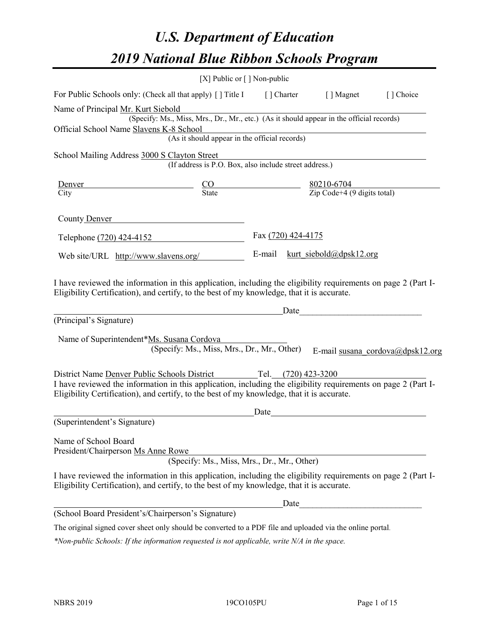# *U.S. Department of Education 2019 National Blue Ribbon Schools Program*

|                                                                                                                                                                                                              | [X] Public or $\lceil$ ] Non-public                                                              |                     |                                |                                  |
|--------------------------------------------------------------------------------------------------------------------------------------------------------------------------------------------------------------|--------------------------------------------------------------------------------------------------|---------------------|--------------------------------|----------------------------------|
| For Public Schools only: (Check all that apply) [ ] Title I                                                                                                                                                  |                                                                                                  | [ ] Charter         | [ ] Magnet                     | [] Choice                        |
| Name of Principal Mr. Kurt Siebold<br>Official School Name Slavens K-8 School                                                                                                                                | (Specify: Ms., Miss, Mrs., Dr., Mr., etc.) (As it should appear in the official records)         |                     |                                |                                  |
|                                                                                                                                                                                                              | -8 School<br>(As it should appear in the official records)                                       |                     |                                |                                  |
| School Mailing Address 3000 S Clayton Street                                                                                                                                                                 | (If address is P.O. Box, also include street address.)                                           |                     |                                |                                  |
| Denver<br>City                                                                                                                                                                                               | $\frac{\text{CO}}{\text{State}}$ $\frac{80210-6704}{\text{Zip Code}+4 (9 \text{ digits total})}$ |                     |                                |                                  |
| County Denver                                                                                                                                                                                                |                                                                                                  |                     |                                |                                  |
| Telephone (720) 424-4152                                                                                                                                                                                     |                                                                                                  | Fax (720) 424-4175  |                                |                                  |
| Web site/URL http://www.slavens.org/                                                                                                                                                                         |                                                                                                  |                     | E-mail kurt siebold@dpsk12.org |                                  |
| Eligibility Certification), and certify, to the best of my knowledge, that it is accurate.<br>(Principal's Signature)<br>Name of Superintendent*Ms. Susana Cordova                                           | (Specify: Ms., Miss, Mrs., Dr., Mr., Other)                                                      | Date                |                                | E-mail susana cordova@dpsk12.org |
| District Name Denver Public Schools District                                                                                                                                                                 |                                                                                                  | Tel. (720) 423-3200 |                                |                                  |
| I have reviewed the information in this application, including the eligibility requirements on page 2 (Part I-<br>Eligibility Certification), and certify, to the best of my knowledge, that it is accurate. |                                                                                                  |                     |                                |                                  |
|                                                                                                                                                                                                              |                                                                                                  | Date                |                                |                                  |
| (Superintendent's Signature)                                                                                                                                                                                 |                                                                                                  |                     |                                |                                  |
| Name of School Board<br>President/Chairperson Ms Anne Rowe                                                                                                                                                   | (Specify: Ms., Miss, Mrs., Dr., Mr., Other)                                                      |                     |                                |                                  |
| I have reviewed the information in this application, including the eligibility requirements on page 2 (Part I-<br>Eligibility Certification), and certify, to the best of my knowledge, that it is accurate. |                                                                                                  |                     |                                |                                  |
|                                                                                                                                                                                                              |                                                                                                  | Date                |                                |                                  |
| (School Board President's/Chairperson's Signature)                                                                                                                                                           |                                                                                                  |                     |                                |                                  |
| The original signed cover sheet only should be converted to a PDF file and uploaded via the online portal.                                                                                                   |                                                                                                  |                     |                                |                                  |

*\*Non-public Schools: If the information requested is not applicable, write N/A in the space.*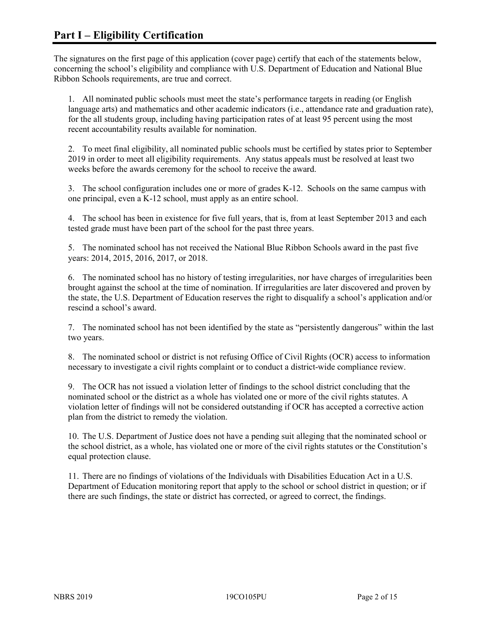The signatures on the first page of this application (cover page) certify that each of the statements below, concerning the school's eligibility and compliance with U.S. Department of Education and National Blue Ribbon Schools requirements, are true and correct.

1. All nominated public schools must meet the state's performance targets in reading (or English language arts) and mathematics and other academic indicators (i.e., attendance rate and graduation rate), for the all students group, including having participation rates of at least 95 percent using the most recent accountability results available for nomination.

2. To meet final eligibility, all nominated public schools must be certified by states prior to September 2019 in order to meet all eligibility requirements. Any status appeals must be resolved at least two weeks before the awards ceremony for the school to receive the award.

3. The school configuration includes one or more of grades K-12. Schools on the same campus with one principal, even a K-12 school, must apply as an entire school.

4. The school has been in existence for five full years, that is, from at least September 2013 and each tested grade must have been part of the school for the past three years.

5. The nominated school has not received the National Blue Ribbon Schools award in the past five years: 2014, 2015, 2016, 2017, or 2018.

6. The nominated school has no history of testing irregularities, nor have charges of irregularities been brought against the school at the time of nomination. If irregularities are later discovered and proven by the state, the U.S. Department of Education reserves the right to disqualify a school's application and/or rescind a school's award.

7. The nominated school has not been identified by the state as "persistently dangerous" within the last two years.

8. The nominated school or district is not refusing Office of Civil Rights (OCR) access to information necessary to investigate a civil rights complaint or to conduct a district-wide compliance review.

9. The OCR has not issued a violation letter of findings to the school district concluding that the nominated school or the district as a whole has violated one or more of the civil rights statutes. A violation letter of findings will not be considered outstanding if OCR has accepted a corrective action plan from the district to remedy the violation.

10. The U.S. Department of Justice does not have a pending suit alleging that the nominated school or the school district, as a whole, has violated one or more of the civil rights statutes or the Constitution's equal protection clause.

11. There are no findings of violations of the Individuals with Disabilities Education Act in a U.S. Department of Education monitoring report that apply to the school or school district in question; or if there are such findings, the state or district has corrected, or agreed to correct, the findings.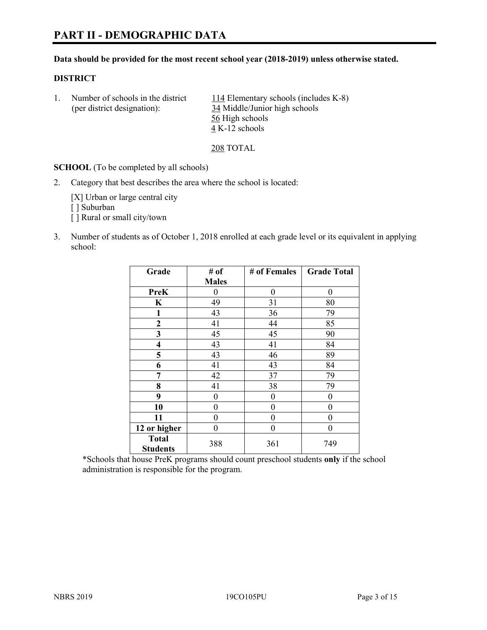# **PART II - DEMOGRAPHIC DATA**

### **Data should be provided for the most recent school year (2018-2019) unless otherwise stated.**

#### **DISTRICT**

| Number of schools in the district<br>(per district designation): | 114 Elementary schools (includes K-8)<br>34 Middle/Junior high schools |
|------------------------------------------------------------------|------------------------------------------------------------------------|
|                                                                  | 56 High schools                                                        |
|                                                                  | 4 K-12 schools                                                         |

208 TOTAL

**SCHOOL** (To be completed by all schools)

2. Category that best describes the area where the school is located:

[X] Urban or large central city [] Suburban [] Rural or small city/town

3. Number of students as of October 1, 2018 enrolled at each grade level or its equivalent in applying school:

| Grade                           | # of         | # of Females | <b>Grade Total</b> |
|---------------------------------|--------------|--------------|--------------------|
|                                 | <b>Males</b> |              |                    |
| <b>PreK</b>                     | 0            | $\theta$     | $\theta$           |
| $\mathbf K$                     | 49           | 31           | 80                 |
| 1                               | 43           | 36           | 79                 |
| 2                               | 41           | 44           | 85                 |
| 3                               | 45           | 45           | 90                 |
| $\overline{\mathbf{4}}$         | 43           | 41           | 84                 |
| 5                               | 43           | 46           | 89                 |
| 6                               | 41           | 43           | 84                 |
| 7                               | 42           | 37           | 79                 |
| 8                               | 41           | 38           | 79                 |
| 9                               | 0            | 0            | 0                  |
| 10                              | 0            | 0            | 0                  |
| 11                              | 0            | $\theta$     | 0                  |
| 12 or higher                    | 0            | $\theta$     | 0                  |
| <b>Total</b><br><b>Students</b> | 388          | 361          | 749                |

\*Schools that house PreK programs should count preschool students **only** if the school administration is responsible for the program.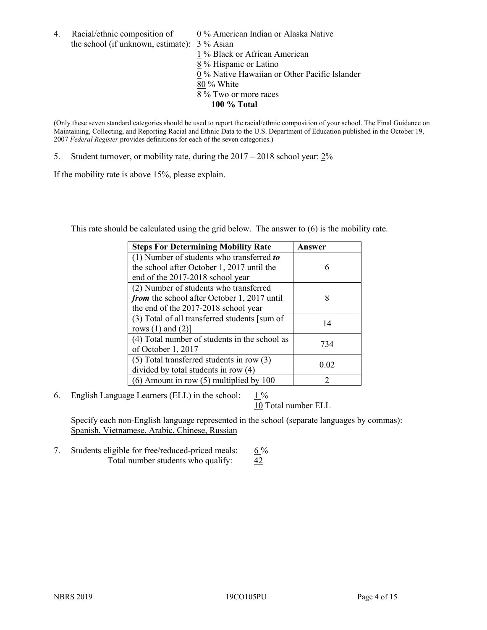4. Racial/ethnic composition of  $0\%$  American Indian or Alaska Native the school (if unknown, estimate): 3 % Asian

 % Black or African American % Hispanic or Latino % Native Hawaiian or Other Pacific Islander 80 % White % Two or more races **100 % Total**

(Only these seven standard categories should be used to report the racial/ethnic composition of your school. The Final Guidance on Maintaining, Collecting, and Reporting Racial and Ethnic Data to the U.S. Department of Education published in the October 19, 2007 *Federal Register* provides definitions for each of the seven categories.)

5. Student turnover, or mobility rate, during the 2017 – 2018 school year: 2%

If the mobility rate is above 15%, please explain.

This rate should be calculated using the grid below. The answer to (6) is the mobility rate.

| <b>Steps For Determining Mobility Rate</b>    | Answer |
|-----------------------------------------------|--------|
| (1) Number of students who transferred to     |        |
| the school after October 1, 2017 until the    | 6      |
| end of the 2017-2018 school year              |        |
| (2) Number of students who transferred        |        |
| from the school after October 1, 2017 until   | 8      |
| the end of the 2017-2018 school year          |        |
| (3) Total of all transferred students [sum of | 14     |
| rows $(1)$ and $(2)$ ]                        |        |
| (4) Total number of students in the school as | 734    |
| of October 1, 2017                            |        |
| $(5)$ Total transferred students in row $(3)$ |        |
| divided by total students in row (4)          | 0.02   |
| $(6)$ Amount in row $(5)$ multiplied by 100   | 2      |

6. English Language Learners (ELL) in the school:  $1\%$ 

10 Total number ELL

Specify each non-English language represented in the school (separate languages by commas): Spanish, Vietnamese, Arabic, Chinese, Russian

7. Students eligible for free/reduced-priced meals:  $6\%$ Total number students who qualify:  $\frac{42}{5}$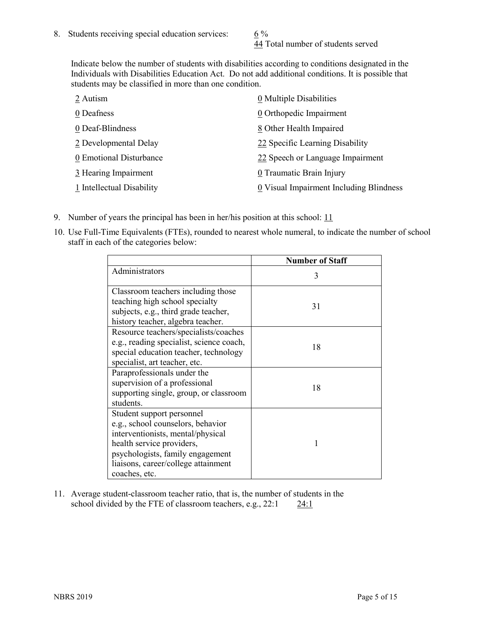44 Total number of students served

Indicate below the number of students with disabilities according to conditions designated in the Individuals with Disabilities Education Act. Do not add additional conditions. It is possible that students may be classified in more than one condition.

| 2 Autism                  | 0 Multiple Disabilities                 |
|---------------------------|-----------------------------------------|
| 0 Deafness                | 0 Orthopedic Impairment                 |
| 0 Deaf-Blindness          | 8 Other Health Impaired                 |
| 2 Developmental Delay     | 22 Specific Learning Disability         |
| 0 Emotional Disturbance   | 22 Speech or Language Impairment        |
| 3 Hearing Impairment      | 0 Traumatic Brain Injury                |
| 1 Intellectual Disability | 0 Visual Impairment Including Blindness |

- 9. Number of years the principal has been in her/his position at this school:  $11$
- 10. Use Full-Time Equivalents (FTEs), rounded to nearest whole numeral, to indicate the number of school staff in each of the categories below:

|                                                                                                                                                                                                                              | <b>Number of Staff</b> |
|------------------------------------------------------------------------------------------------------------------------------------------------------------------------------------------------------------------------------|------------------------|
| Administrators                                                                                                                                                                                                               | 3                      |
| Classroom teachers including those<br>teaching high school specialty<br>subjects, e.g., third grade teacher,<br>history teacher, algebra teacher.                                                                            | 31                     |
| Resource teachers/specialists/coaches<br>e.g., reading specialist, science coach,<br>special education teacher, technology<br>specialist, art teacher, etc.                                                                  | 18                     |
| Paraprofessionals under the<br>supervision of a professional<br>supporting single, group, or classroom<br>students.                                                                                                          | 18                     |
| Student support personnel<br>e.g., school counselors, behavior<br>interventionists, mental/physical<br>health service providers,<br>psychologists, family engagement<br>liaisons, career/college attainment<br>coaches, etc. |                        |

11. Average student-classroom teacher ratio, that is, the number of students in the school divided by the FTE of classroom teachers, e.g., 22:1 24:1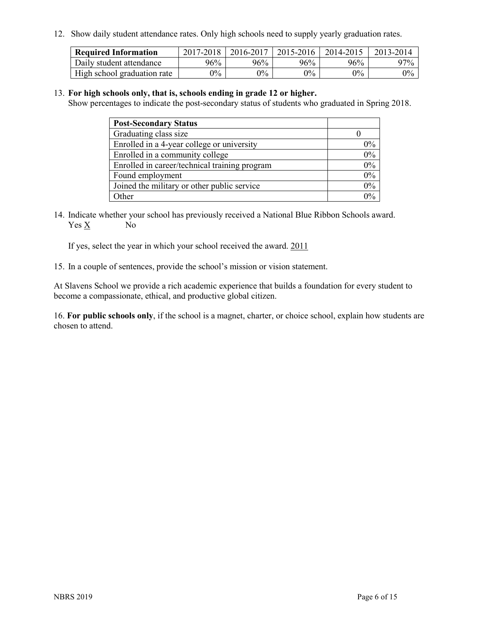12. Show daily student attendance rates. Only high schools need to supply yearly graduation rates.

| <b>Required Information</b> | $2017 - 2018$ | 2016-2017 | 2015-2016 | 2014-2015 | 2013-2014 |
|-----------------------------|---------------|-----------|-----------|-----------|-----------|
| Daily student attendance    | 96%           | 96%       | 96%       | 96%       | $97\%$    |
| High school graduation rate | $0\%$         | $0\%$     | $0\%$     | $9\%$     | $0\%$     |

#### 13. **For high schools only, that is, schools ending in grade 12 or higher.**

Show percentages to indicate the post-secondary status of students who graduated in Spring 2018.

| <b>Post-Secondary Status</b>                  |           |
|-----------------------------------------------|-----------|
| Graduating class size                         |           |
| Enrolled in a 4-year college or university    | $0\%$     |
| Enrolled in a community college               | 0%        |
| Enrolled in career/technical training program | $0\%$     |
| Found employment                              | 0%        |
| Joined the military or other public service   | 0%        |
| Other                                         | በዓ $\sim$ |

14. Indicate whether your school has previously received a National Blue Ribbon Schools award. Yes X No

If yes, select the year in which your school received the award. 2011

15. In a couple of sentences, provide the school's mission or vision statement.

At Slavens School we provide a rich academic experience that builds a foundation for every student to become a compassionate, ethical, and productive global citizen.

16. **For public schools only**, if the school is a magnet, charter, or choice school, explain how students are chosen to attend.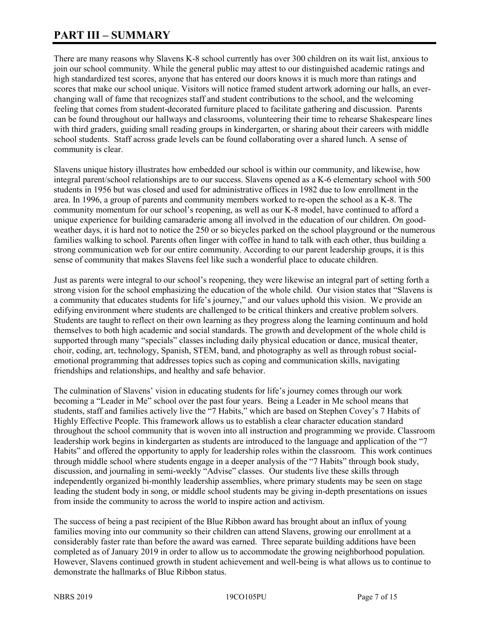# **PART III – SUMMARY**

There are many reasons why Slavens K-8 school currently has over 300 children on its wait list, anxious to join our school community. While the general public may attest to our distinguished academic ratings and high standardized test scores, anyone that has entered our doors knows it is much more than ratings and scores that make our school unique. Visitors will notice framed student artwork adorning our halls, an everchanging wall of fame that recognizes staff and student contributions to the school, and the welcoming feeling that comes from student-decorated furniture placed to facilitate gathering and discussion. Parents can be found throughout our hallways and classrooms, volunteering their time to rehearse Shakespeare lines with third graders, guiding small reading groups in kindergarten, or sharing about their careers with middle school students. Staff across grade levels can be found collaborating over a shared lunch. A sense of community is clear.

Slavens unique history illustrates how embedded our school is within our community, and likewise, how integral parent/school relationships are to our success. Slavens opened as a K-6 elementary school with 500 students in 1956 but was closed and used for administrative offices in 1982 due to low enrollment in the area. In 1996, a group of parents and community members worked to re-open the school as a K-8. The community momentum for our school's reopening, as well as our K-8 model, have continued to afford a unique experience for building camaraderie among all involved in the education of our children. On goodweather days, it is hard not to notice the 250 or so bicycles parked on the school playground or the numerous families walking to school. Parents often linger with coffee in hand to talk with each other, thus building a strong communication web for our entire community. According to our parent leadership groups, it is this sense of community that makes Slavens feel like such a wonderful place to educate children.

Just as parents were integral to our school's reopening, they were likewise an integral part of setting forth a strong vision for the school emphasizing the education of the whole child. Our vision states that "Slavens is a community that educates students for life's journey," and our values uphold this vision. We provide an edifying environment where students are challenged to be critical thinkers and creative problem solvers. Students are taught to reflect on their own learning as they progress along the learning continuum and hold themselves to both high academic and social standards. The growth and development of the whole child is supported through many "specials" classes including daily physical education or dance, musical theater, choir, coding, art, technology, Spanish, STEM, band, and photography as well as through robust socialemotional programming that addresses topics such as coping and communication skills, navigating friendships and relationships, and healthy and safe behavior.

The culmination of Slavens' vision in educating students for life's journey comes through our work becoming a "Leader in Me" school over the past four years. Being a Leader in Me school means that students, staff and families actively live the "7 Habits," which are based on Stephen Covey's 7 Habits of Highly Effective People. This framework allows us to establish a clear character education standard throughout the school community that is woven into all instruction and programming we provide. Classroom leadership work begins in kindergarten as students are introduced to the language and application of the "7 Habits" and offered the opportunity to apply for leadership roles within the classroom. This work continues through middle school where students engage in a deeper analysis of the "7 Habits" through book study, discussion, and journaling in semi-weekly "Advise" classes. Our students live these skills through independently organized bi-monthly leadership assemblies, where primary students may be seen on stage leading the student body in song, or middle school students may be giving in-depth presentations on issues from inside the community to across the world to inspire action and activism.

The success of being a past recipient of the Blue Ribbon award has brought about an influx of young families moving into our community so their children can attend Slavens, growing our enrollment at a considerably faster rate than before the award was earned. Three separate building additions have been completed as of January 2019 in order to allow us to accommodate the growing neighborhood population. However, Slavens continued growth in student achievement and well-being is what allows us to continue to demonstrate the hallmarks of Blue Ribbon status.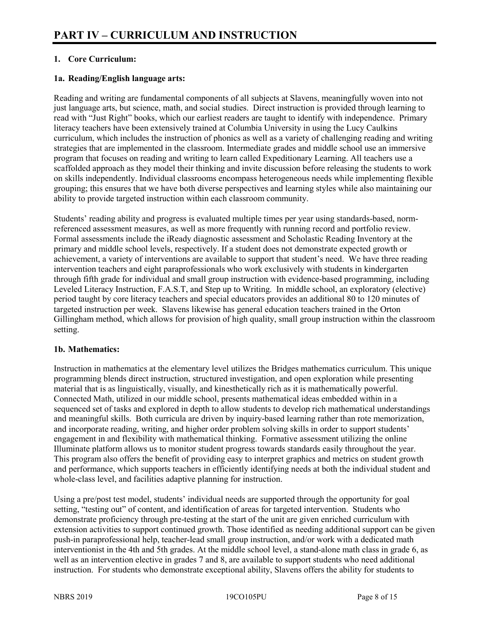# **1. Core Curriculum:**

# **1a. Reading/English language arts:**

Reading and writing are fundamental components of all subjects at Slavens, meaningfully woven into not just language arts, but science, math, and social studies. Direct instruction is provided through learning to read with "Just Right" books, which our earliest readers are taught to identify with independence. Primary literacy teachers have been extensively trained at Columbia University in using the Lucy Caulkins curriculum, which includes the instruction of phonics as well as a variety of challenging reading and writing strategies that are implemented in the classroom. Intermediate grades and middle school use an immersive program that focuses on reading and writing to learn called Expeditionary Learning. All teachers use a scaffolded approach as they model their thinking and invite discussion before releasing the students to work on skills independently. Individual classrooms encompass heterogeneous needs while implementing flexible grouping; this ensures that we have both diverse perspectives and learning styles while also maintaining our ability to provide targeted instruction within each classroom community.

Students' reading ability and progress is evaluated multiple times per year using standards-based, normreferenced assessment measures, as well as more frequently with running record and portfolio review. Formal assessments include the iReady diagnostic assessment and Scholastic Reading Inventory at the primary and middle school levels, respectively. If a student does not demonstrate expected growth or achievement, a variety of interventions are available to support that student's need. We have three reading intervention teachers and eight paraprofessionals who work exclusively with students in kindergarten through fifth grade for individual and small group instruction with evidence-based programming, including Leveled Literacy Instruction, F.A.S.T, and Step up to Writing. In middle school, an exploratory (elective) period taught by core literacy teachers and special educators provides an additional 80 to 120 minutes of targeted instruction per week. Slavens likewise has general education teachers trained in the Orton Gillingham method, which allows for provision of high quality, small group instruction within the classroom setting.

### **1b. Mathematics:**

Instruction in mathematics at the elementary level utilizes the Bridges mathematics curriculum. This unique programming blends direct instruction, structured investigation, and open exploration while presenting material that is as linguistically, visually, and kinesthetically rich as it is mathematically powerful. Connected Math, utilized in our middle school, presents mathematical ideas embedded within in a sequenced set of tasks and explored in depth to allow students to develop rich mathematical understandings and meaningful skills. Both curricula are driven by inquiry-based learning rather than rote memorization, and incorporate reading, writing, and higher order problem solving skills in order to support students' engagement in and flexibility with mathematical thinking. Formative assessment utilizing the online Illuminate platform allows us to monitor student progress towards standards easily throughout the year. This program also offers the benefit of providing easy to interpret graphics and metrics on student growth and performance, which supports teachers in efficiently identifying needs at both the individual student and whole-class level, and facilities adaptive planning for instruction.

Using a pre/post test model, students' individual needs are supported through the opportunity for goal setting, "testing out" of content, and identification of areas for targeted intervention. Students who demonstrate proficiency through pre-testing at the start of the unit are given enriched curriculum with extension activities to support continued growth. Those identified as needing additional support can be given push-in paraprofessional help, teacher-lead small group instruction, and/or work with a dedicated math interventionist in the 4th and 5th grades. At the middle school level, a stand-alone math class in grade 6, as well as an intervention elective in grades 7 and 8, are available to support students who need additional instruction. For students who demonstrate exceptional ability, Slavens offers the ability for students to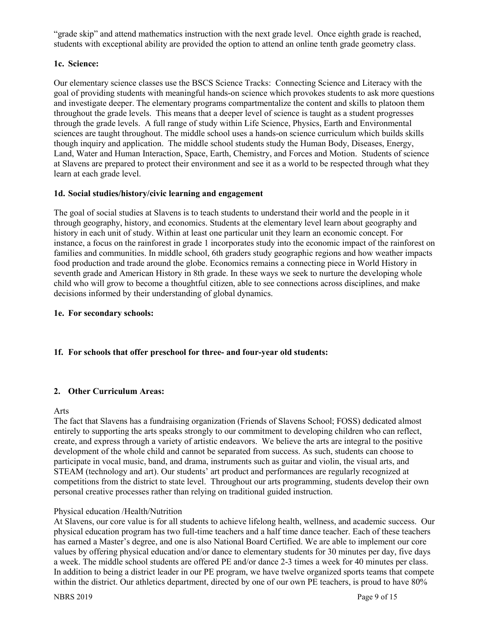"grade skip" and attend mathematics instruction with the next grade level. Once eighth grade is reached, students with exceptional ability are provided the option to attend an online tenth grade geometry class.

# **1c. Science:**

Our elementary science classes use the BSCS Science Tracks: Connecting Science and Literacy with the goal of providing students with meaningful hands-on science which provokes students to ask more questions and investigate deeper. The elementary programs compartmentalize the content and skills to platoon them throughout the grade levels. This means that a deeper level of science is taught as a student progresses through the grade levels. A full range of study within Life Science, Physics, Earth and Environmental sciences are taught throughout. The middle school uses a hands-on science curriculum which builds skills though inquiry and application. The middle school students study the Human Body, Diseases, Energy, Land, Water and Human Interaction, Space, Earth, Chemistry, and Forces and Motion. Students of science at Slavens are prepared to protect their environment and see it as a world to be respected through what they learn at each grade level.

# **1d. Social studies/history/civic learning and engagement**

The goal of social studies at Slavens is to teach students to understand their world and the people in it through geography, history, and economics. Students at the elementary level learn about geography and history in each unit of study. Within at least one particular unit they learn an economic concept. For instance, a focus on the rainforest in grade 1 incorporates study into the economic impact of the rainforest on families and communities. In middle school, 6th graders study geographic regions and how weather impacts food production and trade around the globe. Economics remains a connecting piece in World History in seventh grade and American History in 8th grade. In these ways we seek to nurture the developing whole child who will grow to become a thoughtful citizen, able to see connections across disciplines, and make decisions informed by their understanding of global dynamics.

# **1e. For secondary schools:**

# **1f. For schools that offer preschool for three- and four-year old students:**

# **2. Other Curriculum Areas:**

### Arts

The fact that Slavens has a fundraising organization (Friends of Slavens School; FOSS) dedicated almost entirely to supporting the arts speaks strongly to our commitment to developing children who can reflect, create, and express through a variety of artistic endeavors. We believe the arts are integral to the positive development of the whole child and cannot be separated from success. As such, students can choose to participate in vocal music, band, and drama, instruments such as guitar and violin, the visual arts, and STEAM (technology and art). Our students' art product and performances are regularly recognized at competitions from the district to state level. Throughout our arts programming, students develop their own personal creative processes rather than relying on traditional guided instruction.

### Physical education /Health/Nutrition

At Slavens, our core value is for all students to achieve lifelong health, wellness, and academic success. Our physical education program has two full-time teachers and a half time dance teacher. Each of these teachers has earned a Master's degree, and one is also National Board Certified. We are able to implement our core values by offering physical education and/or dance to elementary students for 30 minutes per day, five days a week. The middle school students are offered PE and/or dance 2-3 times a week for 40 minutes per class. In addition to being a district leader in our PE program, we have twelve organized sports teams that compete within the district. Our athletics department, directed by one of our own PE teachers, is proud to have 80%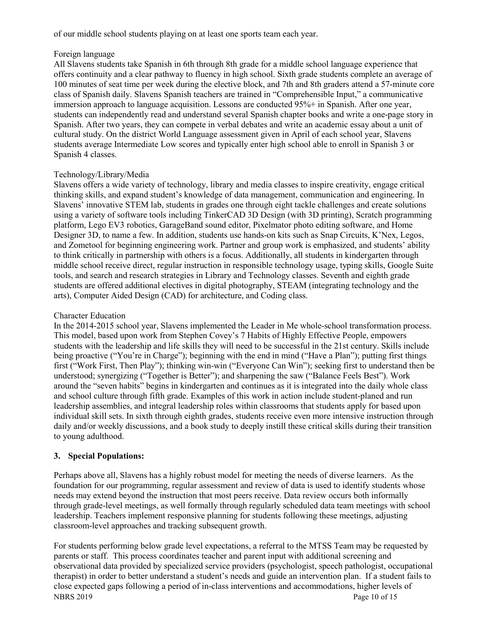of our middle school students playing on at least one sports team each year.

### Foreign language

All Slavens students take Spanish in 6th through 8th grade for a middle school language experience that offers continuity and a clear pathway to fluency in high school. Sixth grade students complete an average of 100 minutes of seat time per week during the elective block, and 7th and 8th graders attend a 57-minute core class of Spanish daily. Slavens Spanish teachers are trained in "Comprehensible Input," a communicative immersion approach to language acquisition. Lessons are conducted 95%+ in Spanish. After one year, students can independently read and understand several Spanish chapter books and write a one-page story in Spanish. After two years, they can compete in verbal debates and write an academic essay about a unit of cultural study. On the district World Language assessment given in April of each school year, Slavens students average Intermediate Low scores and typically enter high school able to enroll in Spanish 3 or Spanish 4 classes.

# Technology/Library/Media

Slavens offers a wide variety of technology, library and media classes to inspire creativity, engage critical thinking skills, and expand student's knowledge of data management, communication and engineering. In Slavens' innovative STEM lab, students in grades one through eight tackle challenges and create solutions using a variety of software tools including TinkerCAD 3D Design (with 3D printing), Scratch programming platform, Lego EV3 robotics, GarageBand sound editor, Pixelmator photo editing software, and Home Designer 3D, to name a few. In addition, students use hands-on kits such as Snap Circuits, K'Nex, Legos, and Zometool for beginning engineering work. Partner and group work is emphasized, and students' ability to think critically in partnership with others is a focus. Additionally, all students in kindergarten through middle school receive direct, regular instruction in responsible technology usage, typing skills, Google Suite tools, and search and research strategies in Library and Technology classes. Seventh and eighth grade students are offered additional electives in digital photography, STEAM (integrating technology and the arts), Computer Aided Design (CAD) for architecture, and Coding class.

## Character Education

In the 2014-2015 school year, Slavens implemented the Leader in Me whole-school transformation process. This model, based upon work from Stephen Covey's 7 Habits of Highly Effective People, empowers students with the leadership and life skills they will need to be successful in the 21st century. Skills include being proactive ("You're in Charge"); beginning with the end in mind ("Have a Plan"); putting first things first ("Work First, Then Play"); thinking win-win ("Everyone Can Win"); seeking first to understand then be understood; synergizing ("Together is Better"); and sharpening the saw ("Balance Feels Best"). Work around the "seven habits" begins in kindergarten and continues as it is integrated into the daily whole class and school culture through fifth grade. Examples of this work in action include student-planed and run leadership assemblies, and integral leadership roles within classrooms that students apply for based upon individual skill sets. In sixth through eighth grades, students receive even more intensive instruction through daily and/or weekly discussions, and a book study to deeply instill these critical skills during their transition to young adulthood.

# **3. Special Populations:**

Perhaps above all, Slavens has a highly robust model for meeting the needs of diverse learners. As the foundation for our programming, regular assessment and review of data is used to identify students whose needs may extend beyond the instruction that most peers receive. Data review occurs both informally through grade-level meetings, as well formally through regularly scheduled data team meetings with school leadership. Teachers implement responsive planning for students following these meetings, adjusting classroom-level approaches and tracking subsequent growth.

NBRS 2019 Page 10 of 15 For students performing below grade level expectations, a referral to the MTSS Team may be requested by parents or staff. This process coordinates teacher and parent input with additional screening and observational data provided by specialized service providers (psychologist, speech pathologist, occupational therapist) in order to better understand a student's needs and guide an intervention plan. If a student fails to close expected gaps following a period of in-class interventions and accommodations, higher levels of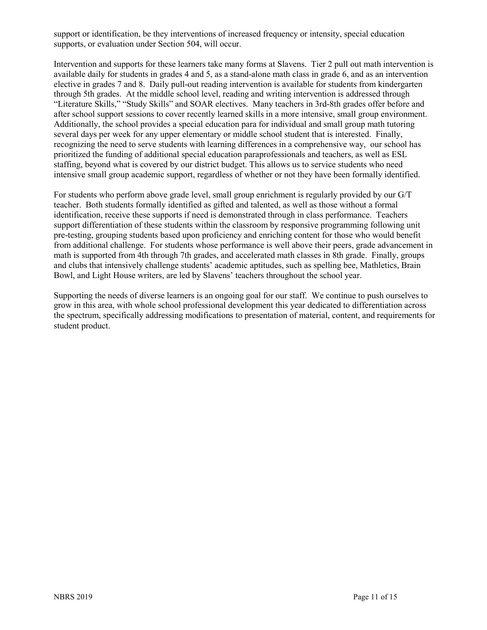support or identification, be they interventions of increased frequency or intensity, special education supports, or evaluation under Section 504, will occur.

Intervention and supports for these learners take many forms at Slavens. Tier 2 pull out math intervention is available daily for students in grades 4 and 5, as a stand-alone math class in grade 6, and as an intervention elective in grades 7 and 8. Daily pull-out reading intervention is available for students from kindergarten through 5th grades. At the middle school level, reading and writing intervention is addressed through "Literature Skills," "Study Skills" and SOAR electives. Many teachers in 3rd-8th grades offer before and after school support sessions to cover recently learned skills in a more intensive, small group environment. Additionally, the school provides a special education para for individual and small group math tutoring several days per week for any upper elementary or middle school student that is interested. Finally, recognizing the need to serve students with learning differences in a comprehensive way, our school has prioritized the funding of additional special education paraprofessionals and teachers, as well as ESL staffing, beyond what is covered by our district budget. This allows us to service students who need intensive small group academic support, regardless of whether or not they have been formally identified.

For students who perform above grade level, small group enrichment is regularly provided by our G/T teacher. Both students formally identified as gifted and talented, as well as those without a formal identification, receive these supports if need is demonstrated through in class performance. Teachers support differentiation of these students within the classroom by responsive programming following unit pre-testing, grouping students based upon proficiency and enriching content for those who would benefit from additional challenge. For students whose performance is well above their peers, grade advancement in math is supported from 4th through 7th grades, and accelerated math classes in 8th grade. Finally, groups and clubs that intensively challenge students' academic aptitudes, such as spelling bee, Mathletics, Brain Bowl, and Light House writers, are led by Slavens' teachers throughout the school year.

Supporting the needs of diverse learners is an ongoing goal for our staff. We continue to push ourselves to grow in this area, with whole school professional development this year dedicated to differentiation across the spectrum, specifically addressing modifications to presentation of material, content, and requirements for student product.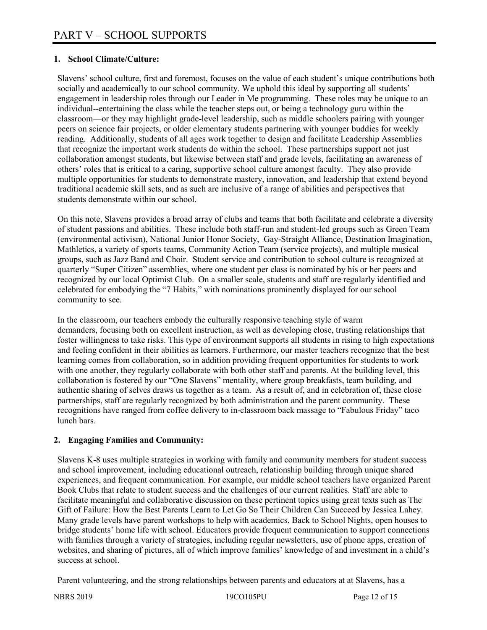# **1. School Climate/Culture:**

Slavens' school culture, first and foremost, focuses on the value of each student's unique contributions both socially and academically to our school community. We uphold this ideal by supporting all students' engagement in leadership roles through our Leader in Me programming. These roles may be unique to an individual--entertaining the class while the teacher steps out, or being a technology guru within the classroom—or they may highlight grade-level leadership, such as middle schoolers pairing with younger peers on science fair projects, or older elementary students partnering with younger buddies for weekly reading. Additionally, students of all ages work together to design and facilitate Leadership Assemblies that recognize the important work students do within the school. These partnerships support not just collaboration amongst students, but likewise between staff and grade levels, facilitating an awareness of others' roles that is critical to a caring, supportive school culture amongst faculty. They also provide multiple opportunities for students to demonstrate mastery, innovation, and leadership that extend beyond traditional academic skill sets, and as such are inclusive of a range of abilities and perspectives that students demonstrate within our school.

On this note, Slavens provides a broad array of clubs and teams that both facilitate and celebrate a diversity of student passions and abilities. These include both staff-run and student-led groups such as Green Team (environmental activism), National Junior Honor Society, Gay-Straight Alliance, Destination Imagination, Mathletics, a variety of sports teams, Community Action Team (service projects), and multiple musical groups, such as Jazz Band and Choir. Student service and contribution to school culture is recognized at quarterly "Super Citizen" assemblies, where one student per class is nominated by his or her peers and recognized by our local Optimist Club. On a smaller scale, students and staff are regularly identified and celebrated for embodying the "7 Habits," with nominations prominently displayed for our school community to see.

In the classroom, our teachers embody the culturally responsive teaching style of warm demanders, focusing both on excellent instruction, as well as developing close, trusting relationships that foster willingness to take risks. This type of environment supports all students in rising to high expectations and feeling confident in their abilities as learners. Furthermore, our master teachers recognize that the best learning comes from collaboration, so in addition providing frequent opportunities for students to work with one another, they regularly collaborate with both other staff and parents. At the building level, this collaboration is fostered by our "One Slavens" mentality, where group breakfasts, team building, and authentic sharing of selves draws us together as a team. As a result of, and in celebration of, these close partnerships, staff are regularly recognized by both administration and the parent community. These recognitions have ranged from coffee delivery to in-classroom back massage to "Fabulous Friday" taco lunch bars.

# **2. Engaging Families and Community:**

Slavens K-8 uses multiple strategies in working with family and community members for student success and school improvement, including educational outreach, relationship building through unique shared experiences, and frequent communication. For example, our middle school teachers have organized Parent Book Clubs that relate to student success and the challenges of our current realities. Staff are able to facilitate meaningful and collaborative discussion on these pertinent topics using great texts such as The Gift of Failure: How the Best Parents Learn to Let Go So Their Children Can Succeed by Jessica Lahey. Many grade levels have parent workshops to help with academics, Back to School Nights, open houses to bridge students' home life with school. Educators provide frequent communication to support connections with families through a variety of strategies, including regular newsletters, use of phone apps, creation of websites, and sharing of pictures, all of which improve families' knowledge of and investment in a child's success at school.

Parent volunteering, and the strong relationships between parents and educators at at Slavens, has a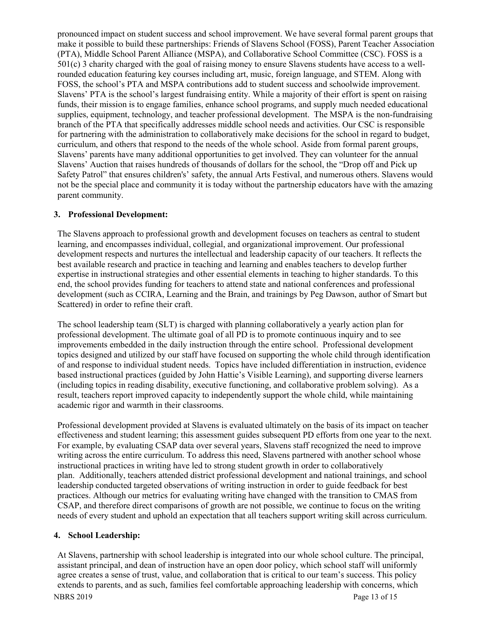pronounced impact on student success and school improvement. We have several formal parent groups that make it possible to build these partnerships: Friends of Slavens School (FOSS), Parent Teacher Association (PTA), Middle School Parent Alliance (MSPA), and Collaborative School Committee (CSC). FOSS is a 501(c) 3 charity charged with the goal of raising money to ensure Slavens students have access to a wellrounded education featuring key courses including art, music, foreign language, and STEM. Along with FOSS, the school's PTA and MSPA contributions add to student success and schoolwide improvement. Slavens' PTA is the school's largest fundraising entity. While a majority of their effort is spent on raising funds, their mission is to engage families, enhance school programs, and supply much needed educational supplies, equipment, technology, and teacher professional development. The MSPA is the non-fundraising branch of the PTA that specifically addresses middle school needs and activities. Our CSC is responsible for partnering with the administration to collaboratively make decisions for the school in regard to budget, curriculum, and others that respond to the needs of the whole school. Aside from formal parent groups, Slavens' parents have many additional opportunities to get involved. They can volunteer for the annual Slavens' Auction that raises hundreds of thousands of dollars for the school, the "Drop off and Pick up Safety Patrol" that ensures children's' safety, the annual Arts Festival, and numerous others. Slavens would not be the special place and community it is today without the partnership educators have with the amazing parent community.

### **3. Professional Development:**

The Slavens approach to professional growth and development focuses on teachers as central to student learning, and encompasses individual, collegial, and organizational improvement. Our professional development respects and nurtures the intellectual and leadership capacity of our teachers. It reflects the best available research and practice in teaching and learning and enables teachers to develop further expertise in instructional strategies and other essential elements in teaching to higher standards. To this end, the school provides funding for teachers to attend state and national conferences and professional development (such as CCIRA, Learning and the Brain, and trainings by Peg Dawson, author of Smart but Scattered) in order to refine their craft.

The school leadership team (SLT) is charged with planning collaboratively a yearly action plan for professional development. The ultimate goal of all PD is to promote continuous inquiry and to see improvements embedded in the daily instruction through the entire school. Professional development topics designed and utilized by our staff have focused on supporting the whole child through identification of and response to individual student needs. Topics have included differentiation in instruction, evidence based instructional practices (guided by John Hattie's Visible Learning), and supporting diverse learners (including topics in reading disability, executive functioning, and collaborative problem solving). As a result, teachers report improved capacity to independently support the whole child, while maintaining academic rigor and warmth in their classrooms.

Professional development provided at Slavens is evaluated ultimately on the basis of its impact on teacher effectiveness and student learning; this assessment guides subsequent PD efforts from one year to the next. For example, by evaluating CSAP data over several years, Slavens staff recognized the need to improve writing across the entire curriculum. To address this need, Slavens partnered with another school whose instructional practices in writing have led to strong student growth in order to collaboratively plan. Additionally, teachers attended district professional development and national trainings, and school leadership conducted targeted observations of writing instruction in order to guide feedback for best practices. Although our metrics for evaluating writing have changed with the transition to CMAS from CSAP, and therefore direct comparisons of growth are not possible, we continue to focus on the writing needs of every student and uphold an expectation that all teachers support writing skill across curriculum.

### **4. School Leadership:**

At Slavens, partnership with school leadership is integrated into our whole school culture. The principal, assistant principal, and dean of instruction have an open door policy, which school staff will uniformly agree creates a sense of trust, value, and collaboration that is critical to our team's success. This policy extends to parents, and as such, families feel comfortable approaching leadership with concerns, which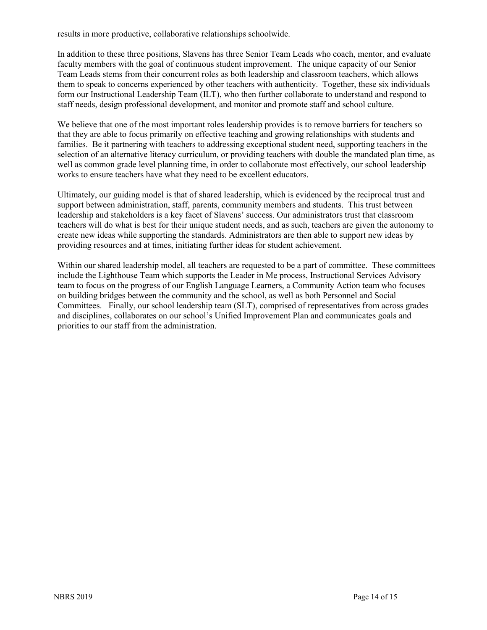results in more productive, collaborative relationships schoolwide.

In addition to these three positions, Slavens has three Senior Team Leads who coach, mentor, and evaluate faculty members with the goal of continuous student improvement. The unique capacity of our Senior Team Leads stems from their concurrent roles as both leadership and classroom teachers, which allows them to speak to concerns experienced by other teachers with authenticity. Together, these six individuals form our Instructional Leadership Team (ILT), who then further collaborate to understand and respond to staff needs, design professional development, and monitor and promote staff and school culture.

We believe that one of the most important roles leadership provides is to remove barriers for teachers so that they are able to focus primarily on effective teaching and growing relationships with students and families. Be it partnering with teachers to addressing exceptional student need, supporting teachers in the selection of an alternative literacy curriculum, or providing teachers with double the mandated plan time, as well as common grade level planning time, in order to collaborate most effectively, our school leadership works to ensure teachers have what they need to be excellent educators.

Ultimately, our guiding model is that of shared leadership, which is evidenced by the reciprocal trust and support between administration, staff, parents, community members and students. This trust between leadership and stakeholders is a key facet of Slavens' success. Our administrators trust that classroom teachers will do what is best for their unique student needs, and as such, teachers are given the autonomy to create new ideas while supporting the standards. Administrators are then able to support new ideas by providing resources and at times, initiating further ideas for student achievement.

Within our shared leadership model, all teachers are requested to be a part of committee. These committees include the Lighthouse Team which supports the Leader in Me process, Instructional Services Advisory team to focus on the progress of our English Language Learners, a Community Action team who focuses on building bridges between the community and the school, as well as both Personnel and Social Committees. Finally, our school leadership team (SLT), comprised of representatives from across grades and disciplines, collaborates on our school's Unified Improvement Plan and communicates goals and priorities to our staff from the administration.